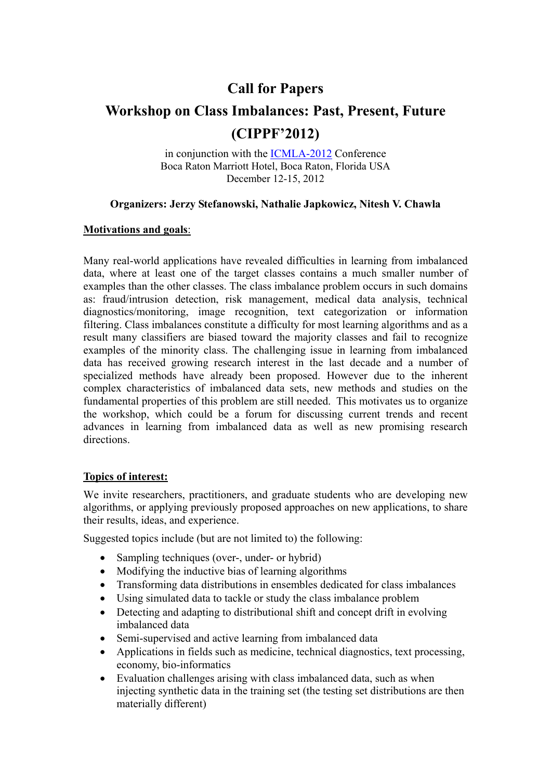# **Call for Papers**

# **Workshop on Class Imbalances: Past, Present, Future (CIPPF'2012)**

in conjunction with the ICMLA-2012 Conference Boca Raton Marriott Hotel, Boca Raton, Florida USA December 12-15, 2012

# **Organizers: Jerzy Stefanowski, Nathalie Japkowicz, Nitesh V. Chawla**

# **Motivations and goals**:

Many real-world applications have revealed difficulties in learning from imbalanced data, where at least one of the target classes contains a much smaller number of examples than the other classes. The class imbalance problem occurs in such domains as: fraud/intrusion detection, risk management, medical data analysis, technical diagnostics/monitoring, image recognition, text categorization or information filtering. Class imbalances constitute a difficulty for most learning algorithms and as a result many classifiers are biased toward the majority classes and fail to recognize examples of the minority class. The challenging issue in learning from imbalanced data has received growing research interest in the last decade and a number of specialized methods have already been proposed. However due to the inherent complex characteristics of imbalanced data sets, new methods and studies on the fundamental properties of this problem are still needed. This motivates us to organize the workshop, which could be a forum for discussing current trends and recent advances in learning from imbalanced data as well as new promising research directions.

# **Topics of interest:**

We invite researchers, practitioners, and graduate students who are developing new algorithms, or applying previously proposed approaches on new applications, to share their results, ideas, and experience.

Suggested topics include (but are not limited to) the following:

- Sampling techniques (over-, under- or hybrid)
- Modifying the inductive bias of learning algorithms
- Transforming data distributions in ensembles dedicated for class imbalances
- Using simulated data to tackle or study the class imbalance problem
- Detecting and adapting to distributional shift and concept drift in evolving imbalanced data
- Semi-supervised and active learning from imbalanced data
- Applications in fields such as medicine, technical diagnostics, text processing, economy, bio-informatics
- Evaluation challenges arising with class imbalanced data, such as when injecting synthetic data in the training set (the testing set distributions are then materially different)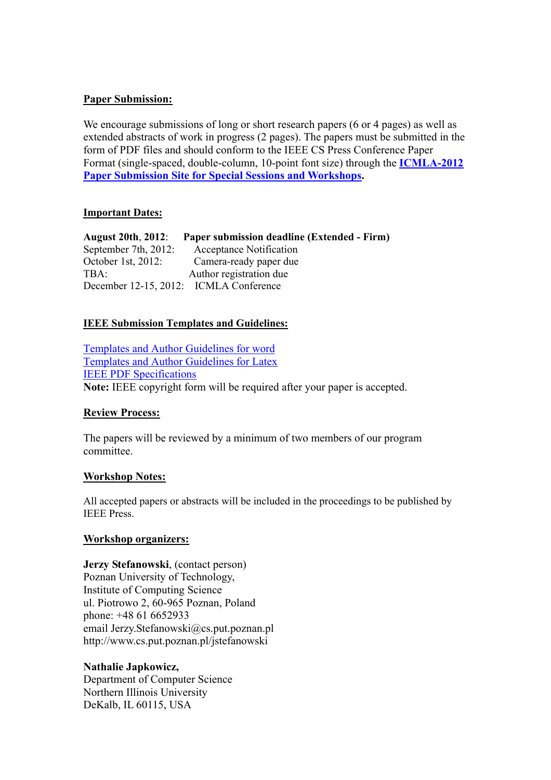#### **Paper Submission:**

We encourage submissions of long or short research papers (6 or 4 pages) as well as extended abstracts of work in progress (2 pages). The papers must be submitted in the form of PDF files and should conform to the IEEE CS Press Conference Paper Format (single-spaced, double-column, 10-point font size) through the **ICMLA-2012 Paper Submission Site for Special Sessions and Workshops.**

# **Important Dates:**

**August 20th**, **2012**: **Paper submission deadline (Extended - Firm)**  September 7th, 2012: Acceptance Notification October 1st, 2012: Camera-ready paper due TBA: Author registration due December 12-15, 2012: ICMLA Conference

# **IEEE Submission Templates and Guidelines:**

Templates and Author Guidelines for word Templates and Author Guidelines for Latex IEEE PDF Specifications **Note:** IEEE copyright form will be required after your paper is accepted.

#### **Review Process:**

The papers will be reviewed by a minimum of two members of our program committee.

#### **Workshop Notes:**

All accepted papers or abstracts will be included in the proceedings to be published by IEEE Press.

#### **Workshop organizers:**

**Jerzy Stefanowski**, (contact person) Poznan University of Technology, Institute of Computing Science ul. Piotrowo 2, 60-965 Poznan, Poland phone: +48 61 6652933 email Jerzy.Stefanowski@cs.put.poznan.pl http://www.cs.put.poznan.pl/jstefanowski

# **Nathalie Japkowicz,**

Department of Computer Science Northern Illinois University DeKalb, IL 60115, USA